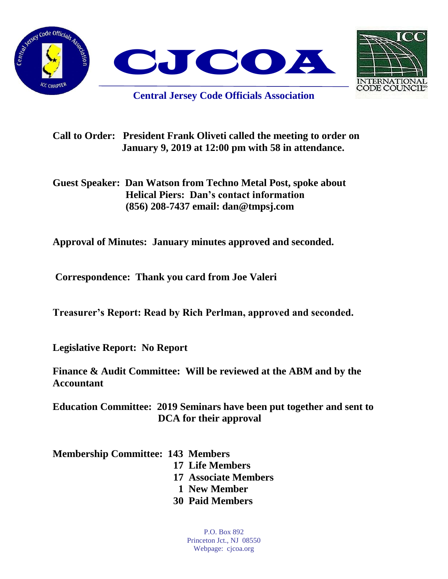



**Central Jersey Code Officials Association**

**Call to Order: President Frank Oliveti called the meeting to order on January 9, 2019 at 12:00 pm with 58 in attendance.**

**Guest Speaker: Dan Watson from Techno Metal Post, spoke about Helical Piers: Dan's contact information (856) 208-7437 email: dan@tmpsj.com**

**Approval of Minutes: January minutes approved and seconded.** 

**Correspondence: Thank you card from Joe Valeri**

**Treasurer's Report: Read by Rich Perlman, approved and seconded.** 

**Legislative Report: No Report**

**Finance & Audit Committee: Will be reviewed at the ABM and by the Accountant** 

**Education Committee: 2019 Seminars have been put together and sent to DCA for their approval**

**Membership Committee: 143 Members** 

 **17 Life Members**

 **17 Associate Members**

- **1 New Member**
- **30 Paid Members**

P.O. Box 892 Princeton Jct., NJ 08550 Webpage: cjcoa.org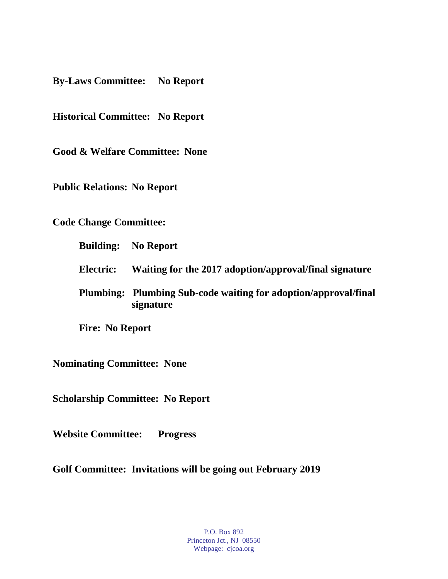**By-Laws Committee: No Report**

**Historical Committee: No Report**

**Good & Welfare Committee: None**

**Public Relations: No Report**

**Code Change Committee:** 

**Building: No Report**

**Electric: Waiting for the 2017 adoption/approval/final signature**

**Plumbing: Plumbing Sub-code waiting for adoption/approval/final signature**

**Fire: No Report**

**Nominating Committee: None**

**Scholarship Committee: No Report**

**Website Committee: Progress** 

**Golf Committee: Invitations will be going out February 2019**

P.O. Box 892 Princeton Jct., NJ 08550 Webpage: cjcoa.org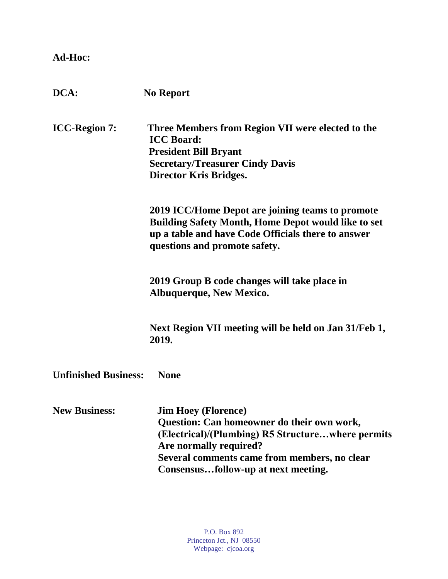## **Ad-Hoc:**

| DCA:                        | <b>No Report</b>                                                                                                                                                                                                                               |
|-----------------------------|------------------------------------------------------------------------------------------------------------------------------------------------------------------------------------------------------------------------------------------------|
| <b>ICC-Region 7:</b>        | Three Members from Region VII were elected to the<br><b>ICC Board:</b><br><b>President Bill Bryant</b><br><b>Secretary/Treasurer Cindy Davis</b><br><b>Director Kris Bridges.</b>                                                              |
|                             | 2019 ICC/Home Depot are joining teams to promote<br><b>Building Safety Month, Home Depot would like to set</b><br>up a table and have Code Officials there to answer<br>questions and promote safety.                                          |
|                             | 2019 Group B code changes will take place in<br><b>Albuquerque, New Mexico.</b>                                                                                                                                                                |
|                             | Next Region VII meeting will be held on Jan 31/Feb 1,<br>2019.                                                                                                                                                                                 |
| <b>Unfinished Business:</b> | <b>None</b>                                                                                                                                                                                                                                    |
| <b>New Business:</b>        | <b>Jim Hoey (Florence)</b><br>Question: Can homeowner do their own work,<br>(Electrical)/(Plumbing) R5 Structurewhere permits<br>Are normally required?<br>Several comments came from members, no clear<br>Consensusfollow-up at next meeting. |